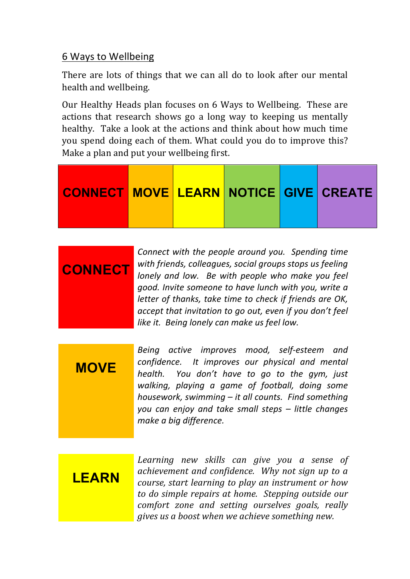## 6 Ways to Wellbeing

There are lots of things that we can all do to look after our mental health and wellbeing.

Our Healthy Heads plan focuses on 6 Ways to Wellbeing. These are actions that research shows go a long way to keeping us mentally healthy. Take a look at the actions and think about how much time you spend doing each of them. What could you do to improve this? Make a plan and put your wellbeing first.



|                | Connect with the people around you. Spending time        |
|----------------|----------------------------------------------------------|
| <b>CONNECT</b> | with friends, colleagues, social groups stops us feeling |
|                | lonely and low. Be with people who make you feel         |
|                | good. Invite someone to have lunch with you, write a     |
|                | letter of thanks, take time to check if friends are OK,  |
|                | accept that invitation to go out, even if you don't feel |
|                | like it. Being lonely can make us feel low.              |

**MOVE** *Being active improves mood, self-esteem and confidence.* It improves our physical and mental *health.* You don't have to go to the gym, just walking, playing a game of football, doing some *housework, swimming* – *it all counts. Find something you can enjoy and take small steps – little changes make a big difference.*

**LEARN**

Learning new skills can give you a sense of *achievement and confidence. Why not sign up to a course, start learning to play an instrument or how* to do simple repairs at home. Stepping outside our *comfort zone and setting ourselves goals, really gives us a boost when we achieve something new.*